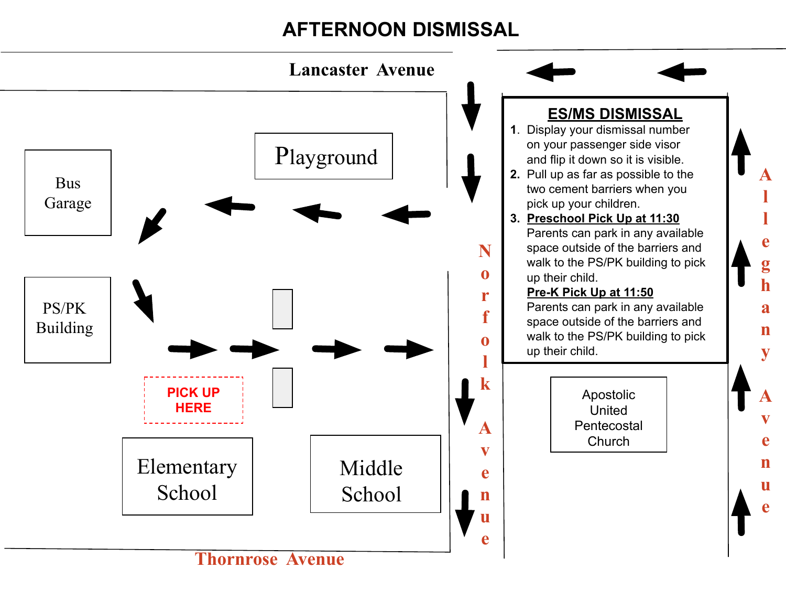## **AFTERNOON DISMISSAL**